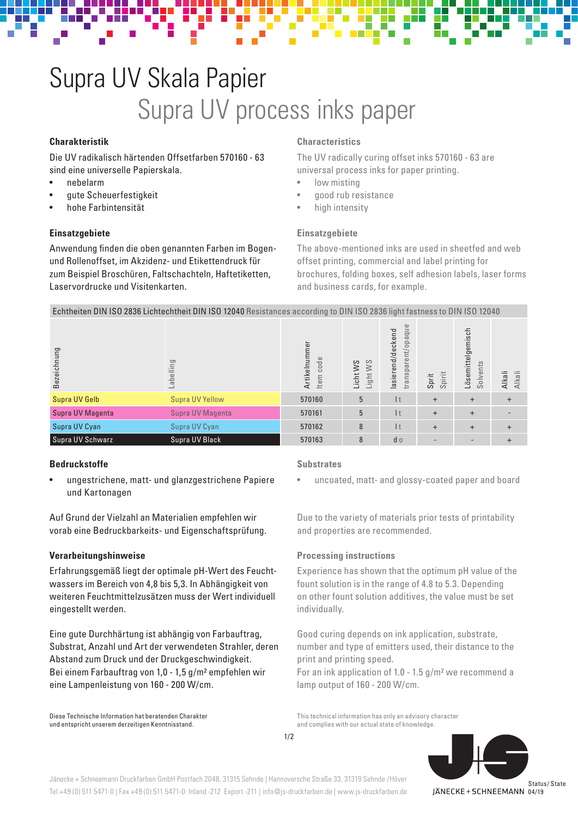# Supra UV Skala Papier Supra UV process inks paper

### **Charakteristik**

Die UV radikalisch härtenden Offsetfarben 570160 - 63 sind eine universelle Papierskala.

- nebelarm
- gute Scheuerfestigkeit
- hohe Farbintensität

#### **Einsatzgebiete**

Anwendung finden die oben genannten Farben im Bogenund Rollenoffset, im Akzidenz- und Etikettendruck für zum Beispiel Broschüren, Faltschachteln, Haftetiketten, Laservordrucke und Visitenkarten.

## **Characteristics**

The UV radically curing offset inks 570160 - 63 are universal process inks for paper printing.

- low misting
- good rub resistance
- high intensity

#### **Einsatzgebiete**

The above-mentioned inks are used in sheetfed and web offset printing, commercial and label printing for brochures, folding boxes, self adhesion labels, laser forms and business cards, for example.

Echtheiten DIN ISO 2836 Lichtechtheit DIN ISO 12040 Resistances according to DIN ISO 2836 light fastness to DIN ISO 12040

| Bezeichnung      | ing<br>abel            | me<br>Artikelnum<br>ode<br>$\circ$<br>Item | ws<br><b>NVS</b><br>Light<br>Licht <sup>1</sup> | opaque<br>lasierend/deckend<br>emt/<br>transpar | Spirit<br>Sprit | Lösemittelgemisch<br>Solvents | Alkali<br>Alkali |
|------------------|------------------------|--------------------------------------------|-------------------------------------------------|-------------------------------------------------|-----------------|-------------------------------|------------------|
| Supra UV Gelb    | <b>Supra UV Yellow</b> | 570160                                     | 5                                               | 1t                                              | $+$             | $+$                           |                  |
| Supra UV Magenta | Supra UV Magenta       | 570161                                     | 5                                               | Ιt                                              | $+$             | $+$                           |                  |
| Supra UV Cyan    | Supra UV Cyan          | 570162                                     | 8                                               | Ħ                                               | $+$             | $\ddot{}$                     |                  |
| Supra UV Schwarz | Supra UV Black         | 570163                                     | 8                                               | d o                                             | ٠               |                               |                  |

1/2

#### **Bedruckstoffe**

• ungestrichene, matt- und glanzgestrichene Papiere und Kartonagen

Auf Grund der Vielzahl an Materialien empfehlen wir vorab eine Bedruckbarkeits- und Eigenschaftsprüfung.

#### **Verarbeitungshinweise**

Erfahrungsgemäß liegt der optimale pH-Wert des Feuchtwassers im Bereich von 4,8 bis 5,3. In Abhängigkeit von weiteren Feuchtmittelzusätzen muss der Wert individuell eingestellt werden.

Eine gute Durchhärtung ist abhängig von Farbauftrag, Substrat, Anzahl und Art der verwendeten Strahler, deren Abstand zum Druck und der Druckgeschwindigkeit. Bei einem Farbauftrag von 1,0 - 1,5 g/m² empfehlen wir eine Lampenleistung von 160 - 200 W/cm.

#### Diese Technische Information hat beratenden Charakter und entspricht unserem derzeitigen Kenntnisstand.

## **Substrates**

• uncoated, matt- and glossy-coated paper and board

Due to the variety of materials prior tests of printability and properties are recommended.

#### **Processing instructions**

Experience has shown that the optimum pH value of the fount solution is in the range of 4.8 to 5.3. Depending on other fount solution additives, the value must be set individually.

Good curing depends on ink application, substrate, number and type of emitters used, their distance to the print and printing speed.

For an ink application of 1.0 - 1.5 g/m² we recommend a lamp output of 160 - 200 W/cm.

This technical information has only an advisory character and complies with our actual state of knowledge.